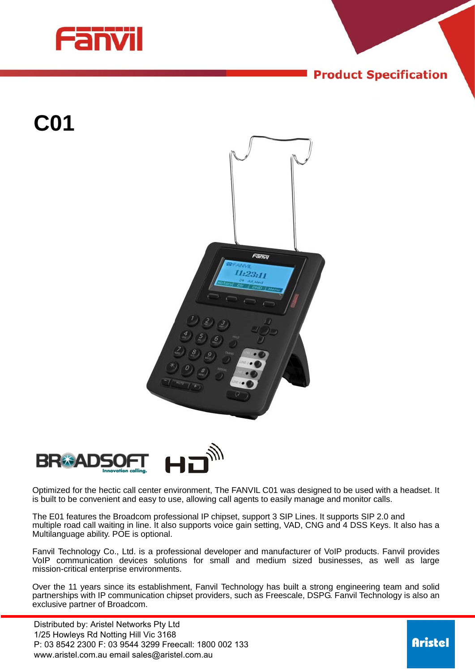

**C01**

# **Product Specification**





Optimized for the hectic call center environment, The FANVIL C01 was designed to be used with a headset. It is built to be convenient and easy to use, allowing call agents to easily manage and monitor calls.

The E01 features the Broadcom professional IP chipset, support 3 SIP Lines. It supports SIP 2.0 and multiple road call waiting in line. It also supports voice gain setting, VAD, CNG and 4 DSS Keys. It also has a Multilanguage ability. POE is optional.

Fanvil Technology Co., Ltd. is a professional developer and manufacturer of VoIP products. Fanvil provides VoIP communication devices solutions for small and medium sized businesses, as well as large mission-critical enterprise environments.

Over the 11 years since its establishment, Fanvil Technology has built a strong engineering team and solid partnerships with IP communication chipset providers, such as Freescale, DSPG. Fanvil Technology is also an exclusive partner of Broadcom.